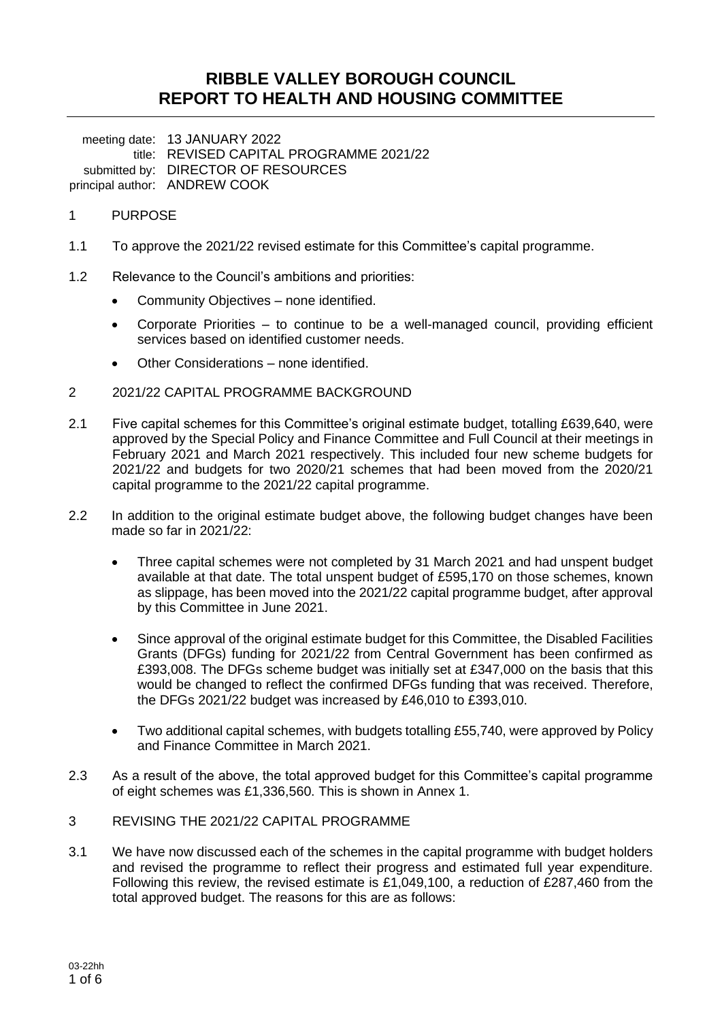# **RIBBLE VALLEY BOROUGH COUNCIL REPORT TO HEALTH AND HOUSING COMMITTEE**

meeting date: 13 JANUARY 2022 title: REVISED CAPITAL PROGRAMME 2021/22 submitted by: DIRECTOR OF RESOURCES principal author: ANDREW COOK

#### 1 PURPOSE

- 1.1 To approve the 2021/22 revised estimate for this Committee's capital programme.
- 1.2 Relevance to the Council's ambitions and priorities:
	- Community Objectives none identified.
	- Corporate Priorities to continue to be a well-managed council, providing efficient services based on identified customer needs.
	- Other Considerations none identified.
- 2 2021/22 CAPITAL PROGRAMME BACKGROUND
- 2.1 Five capital schemes for this Committee's original estimate budget, totalling £639,640, were approved by the Special Policy and Finance Committee and Full Council at their meetings in February 2021 and March 2021 respectively. This included four new scheme budgets for 2021/22 and budgets for two 2020/21 schemes that had been moved from the 2020/21 capital programme to the 2021/22 capital programme.
- 2.2 In addition to the original estimate budget above, the following budget changes have been made so far in 2021/22:
	- Three capital schemes were not completed by 31 March 2021 and had unspent budget available at that date. The total unspent budget of £595,170 on those schemes, known as slippage, has been moved into the 2021/22 capital programme budget, after approval by this Committee in June 2021.
	- Since approval of the original estimate budget for this Committee, the Disabled Facilities Grants (DFGs) funding for 2021/22 from Central Government has been confirmed as £393,008. The DFGs scheme budget was initially set at £347,000 on the basis that this would be changed to reflect the confirmed DFGs funding that was received. Therefore, the DFGs 2021/22 budget was increased by £46,010 to £393,010.
	- Two additional capital schemes, with budgets totalling £55,740, were approved by Policy and Finance Committee in March 2021.
- 2.3 As a result of the above, the total approved budget for this Committee's capital programme of eight schemes was £1,336,560. This is shown in Annex 1.

#### 3 REVISING THE 2021/22 CAPITAL PROGRAMME

3.1 We have now discussed each of the schemes in the capital programme with budget holders and revised the programme to reflect their progress and estimated full year expenditure. Following this review, the revised estimate is £1,049,100, a reduction of £287,460 from the total approved budget. The reasons for this are as follows: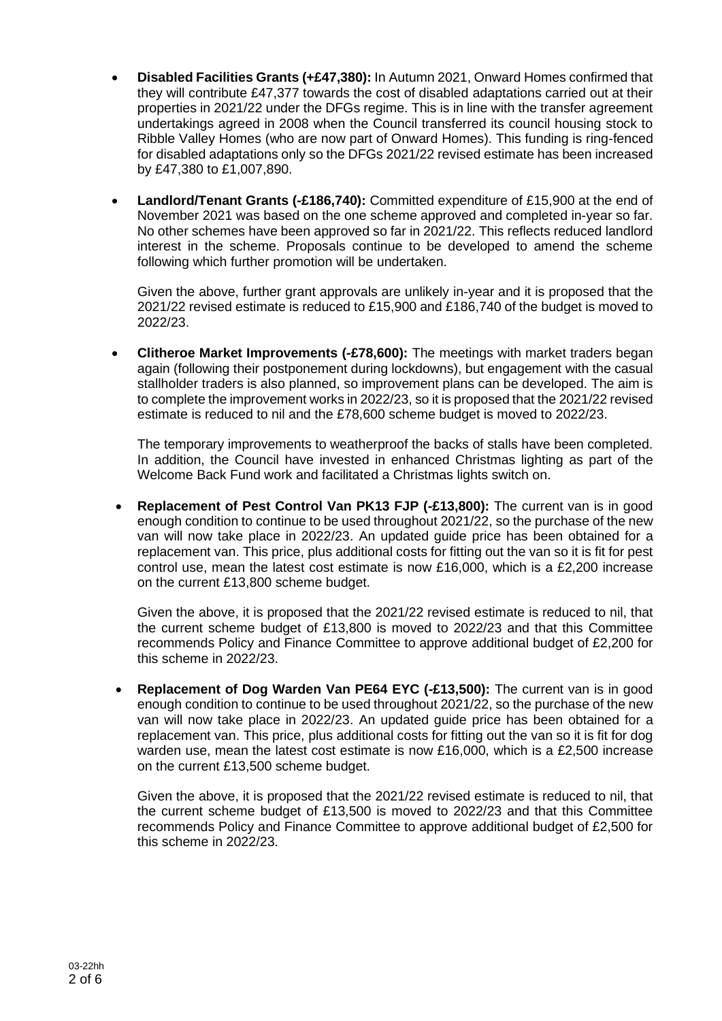- **Disabled Facilities Grants (+£47,380):** In Autumn 2021, Onward Homes confirmed that they will contribute £47,377 towards the cost of disabled adaptations carried out at their properties in 2021/22 under the DFGs regime. This is in line with the transfer agreement undertakings agreed in 2008 when the Council transferred its council housing stock to Ribble Valley Homes (who are now part of Onward Homes). This funding is ring-fenced for disabled adaptations only so the DFGs 2021/22 revised estimate has been increased by £47,380 to £1,007,890.
- **Landlord/Tenant Grants (-£186,740):** Committed expenditure of £15,900 at the end of November 2021 was based on the one scheme approved and completed in-year so far. No other schemes have been approved so far in 2021/22. This reflects reduced landlord interest in the scheme. Proposals continue to be developed to amend the scheme following which further promotion will be undertaken.

Given the above, further grant approvals are unlikely in-year and it is proposed that the 2021/22 revised estimate is reduced to £15,900 and £186,740 of the budget is moved to 2022/23.

• **Clitheroe Market Improvements (-£78,600):** The meetings with market traders began again (following their postponement during lockdowns), but engagement with the casual stallholder traders is also planned, so improvement plans can be developed. The aim is to complete the improvement works in 2022/23, so it is proposed that the 2021/22 revised estimate is reduced to nil and the £78,600 scheme budget is moved to 2022/23.

The temporary improvements to weatherproof the backs of stalls have been completed. In addition, the Council have invested in enhanced Christmas lighting as part of the Welcome Back Fund work and facilitated a Christmas lights switch on.

**Replacement of Pest Control Van PK13 FJP (-£13,800):** The current van is in good enough condition to continue to be used throughout 2021/22, so the purchase of the new van will now take place in 2022/23. An updated guide price has been obtained for a replacement van. This price, plus additional costs for fitting out the van so it is fit for pest control use, mean the latest cost estimate is now £16,000, which is a £2,200 increase on the current £13,800 scheme budget.

Given the above, it is proposed that the 2021/22 revised estimate is reduced to nil, that the current scheme budget of £13,800 is moved to 2022/23 and that this Committee recommends Policy and Finance Committee to approve additional budget of £2,200 for this scheme in 2022/23.

• **Replacement of Dog Warden Van PE64 EYC (-£13,500):** The current van is in good enough condition to continue to be used throughout 2021/22, so the purchase of the new van will now take place in 2022/23. An updated guide price has been obtained for a replacement van. This price, plus additional costs for fitting out the van so it is fit for dog warden use, mean the latest cost estimate is now £16,000, which is a £2,500 increase on the current £13,500 scheme budget.

Given the above, it is proposed that the 2021/22 revised estimate is reduced to nil, that the current scheme budget of £13,500 is moved to 2022/23 and that this Committee recommends Policy and Finance Committee to approve additional budget of £2,500 for this scheme in 2022/23.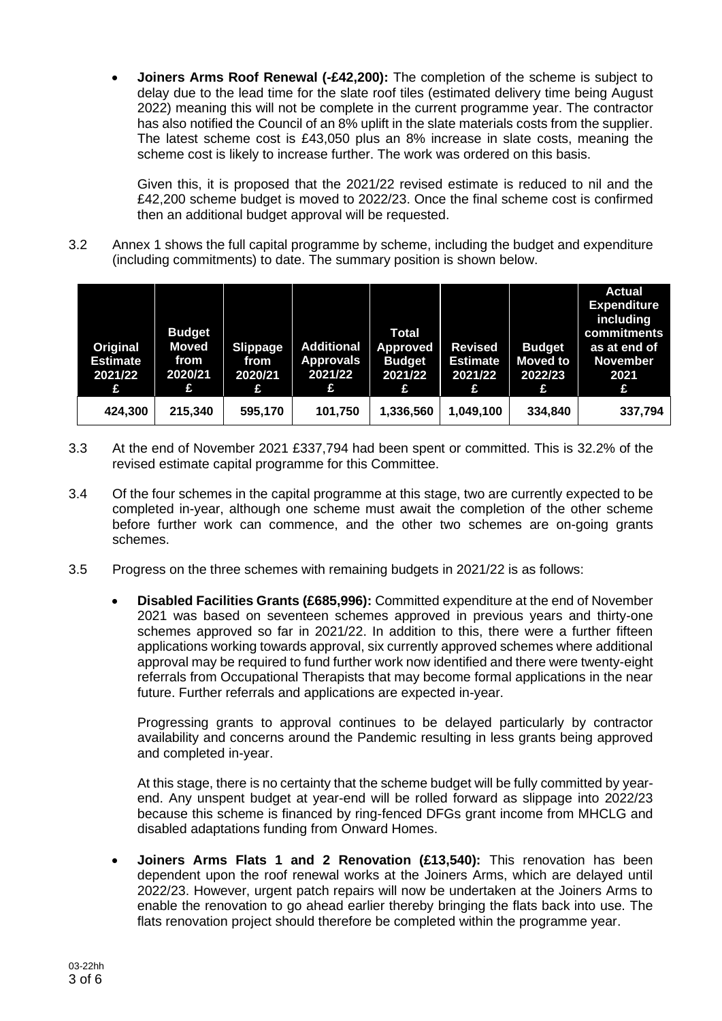• **Joiners Arms Roof Renewal (-£42,200):** The completion of the scheme is subject to delay due to the lead time for the slate roof tiles (estimated delivery time being August 2022) meaning this will not be complete in the current programme year. The contractor has also notified the Council of an 8% uplift in the slate materials costs from the supplier. The latest scheme cost is £43,050 plus an 8% increase in slate costs, meaning the scheme cost is likely to increase further. The work was ordered on this basis.

Given this, it is proposed that the 2021/22 revised estimate is reduced to nil and the £42,200 scheme budget is moved to 2022/23. Once the final scheme cost is confirmed then an additional budget approval will be requested.

3.2 Annex 1 shows the full capital programme by scheme, including the budget and expenditure (including commitments) to date. The summary position is shown below.

| Original<br><b>Estimate</b><br>2021/22<br>£ | <b>Budget</b><br><b>Moved</b><br>from<br>2020/21<br>£ | <b>Slippage</b><br>from<br>2020/21<br>£ | <b>Additional</b><br><b>Approvals</b><br>2021/22<br>£ | <b>Total</b><br><b>Approved</b><br><b>Budget</b><br>2021/22<br>£ | <b>Revised</b><br><b>Estimate</b><br>2021/22<br>£ | <b>Budget</b><br><b>Moved to</b><br>2022/23<br>£ | <b>Actual</b><br><b>Expenditure</b><br>including<br>commitments<br>as at end of<br><b>November</b><br>2021<br>£ |
|---------------------------------------------|-------------------------------------------------------|-----------------------------------------|-------------------------------------------------------|------------------------------------------------------------------|---------------------------------------------------|--------------------------------------------------|-----------------------------------------------------------------------------------------------------------------|
| 424,300                                     | 215,340                                               | 595,170                                 | 101,750                                               | 1,336,560                                                        | 1,049,100                                         | 334.840                                          | 337,794                                                                                                         |

- 3.3 At the end of November 2021 £337,794 had been spent or committed. This is 32.2% of the revised estimate capital programme for this Committee.
- 3.4 Of the four schemes in the capital programme at this stage, two are currently expected to be completed in-year, although one scheme must await the completion of the other scheme before further work can commence, and the other two schemes are on-going grants schemes.
- 3.5 Progress on the three schemes with remaining budgets in 2021/22 is as follows:
	- **Disabled Facilities Grants (£685,996):** Committed expenditure at the end of November 2021 was based on seventeen schemes approved in previous years and thirty-one schemes approved so far in 2021/22. In addition to this, there were a further fifteen applications working towards approval, six currently approved schemes where additional approval may be required to fund further work now identified and there were twenty-eight referrals from Occupational Therapists that may become formal applications in the near future. Further referrals and applications are expected in-year.

Progressing grants to approval continues to be delayed particularly by contractor availability and concerns around the Pandemic resulting in less grants being approved and completed in-year.

At this stage, there is no certainty that the scheme budget will be fully committed by yearend. Any unspent budget at year-end will be rolled forward as slippage into 2022/23 because this scheme is financed by ring-fenced DFGs grant income from MHCLG and disabled adaptations funding from Onward Homes.

• **Joiners Arms Flats 1 and 2 Renovation (£13,540):** This renovation has been dependent upon the roof renewal works at the Joiners Arms, which are delayed until 2022/23. However, urgent patch repairs will now be undertaken at the Joiners Arms to enable the renovation to go ahead earlier thereby bringing the flats back into use. The flats renovation project should therefore be completed within the programme year.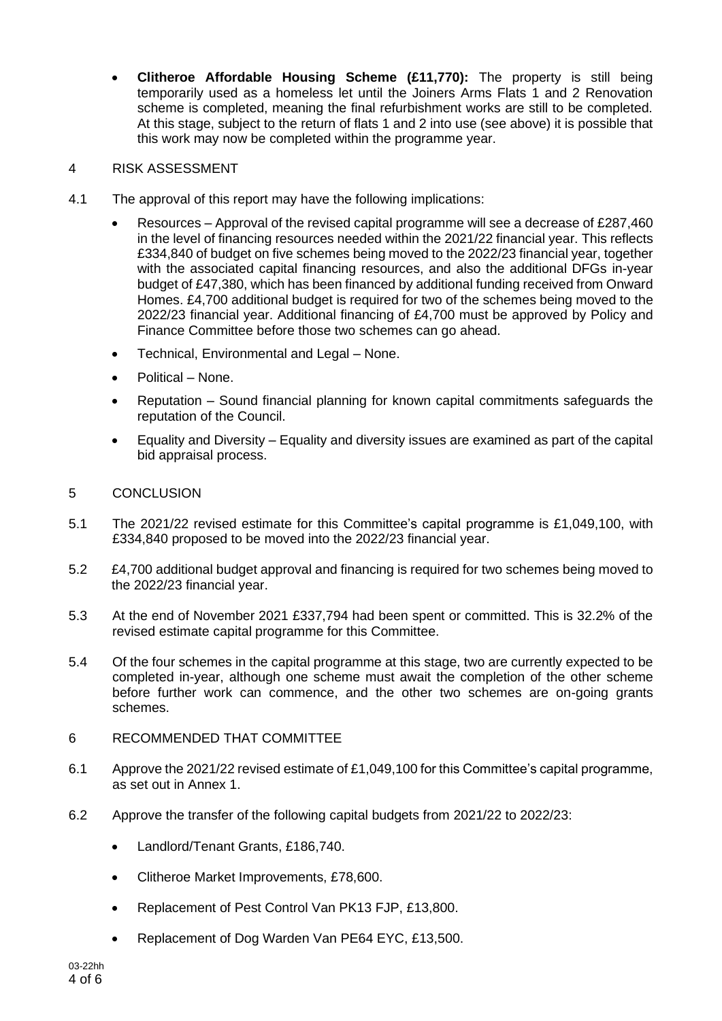• **Clitheroe Affordable Housing Scheme (£11,770):** The property is still being temporarily used as a homeless let until the Joiners Arms Flats 1 and 2 Renovation scheme is completed, meaning the final refurbishment works are still to be completed. At this stage, subject to the return of flats 1 and 2 into use (see above) it is possible that this work may now be completed within the programme year.

## 4 RISK ASSESSMENT

- 4.1 The approval of this report may have the following implications:
	- Resources Approval of the revised capital programme will see a decrease of £287,460 in the level of financing resources needed within the 2021/22 financial year. This reflects £334,840 of budget on five schemes being moved to the 2022/23 financial year, together with the associated capital financing resources, and also the additional DFGs in-year budget of £47,380, which has been financed by additional funding received from Onward Homes. £4,700 additional budget is required for two of the schemes being moved to the 2022/23 financial year. Additional financing of £4,700 must be approved by Policy and Finance Committee before those two schemes can go ahead.
	- Technical, Environmental and Legal None.
	- Political None.
	- Reputation Sound financial planning for known capital commitments safeguards the reputation of the Council.
	- Equality and Diversity Equality and diversity issues are examined as part of the capital bid appraisal process.

## 5 CONCLUSION

- 5.1 The 2021/22 revised estimate for this Committee's capital programme is £1,049,100, with £334,840 proposed to be moved into the 2022/23 financial year.
- 5.2 £4,700 additional budget approval and financing is required for two schemes being moved to the 2022/23 financial year.
- 5.3 At the end of November 2021 £337,794 had been spent or committed. This is 32.2% of the revised estimate capital programme for this Committee.
- 5.4 Of the four schemes in the capital programme at this stage, two are currently expected to be completed in-year, although one scheme must await the completion of the other scheme before further work can commence, and the other two schemes are on-going grants schemes.
- 6 RECOMMENDED THAT COMMITTEE
- 6.1 Approve the 2021/22 revised estimate of £1,049,100 for this Committee's capital programme, as set out in Annex 1.
- 6.2 Approve the transfer of the following capital budgets from 2021/22 to 2022/23:
	- Landlord/Tenant Grants, £186,740.
	- Clitheroe Market Improvements, £78,600.
	- Replacement of Pest Control Van PK13 FJP, £13,800.
	- Replacement of Dog Warden Van PE64 EYC, £13,500.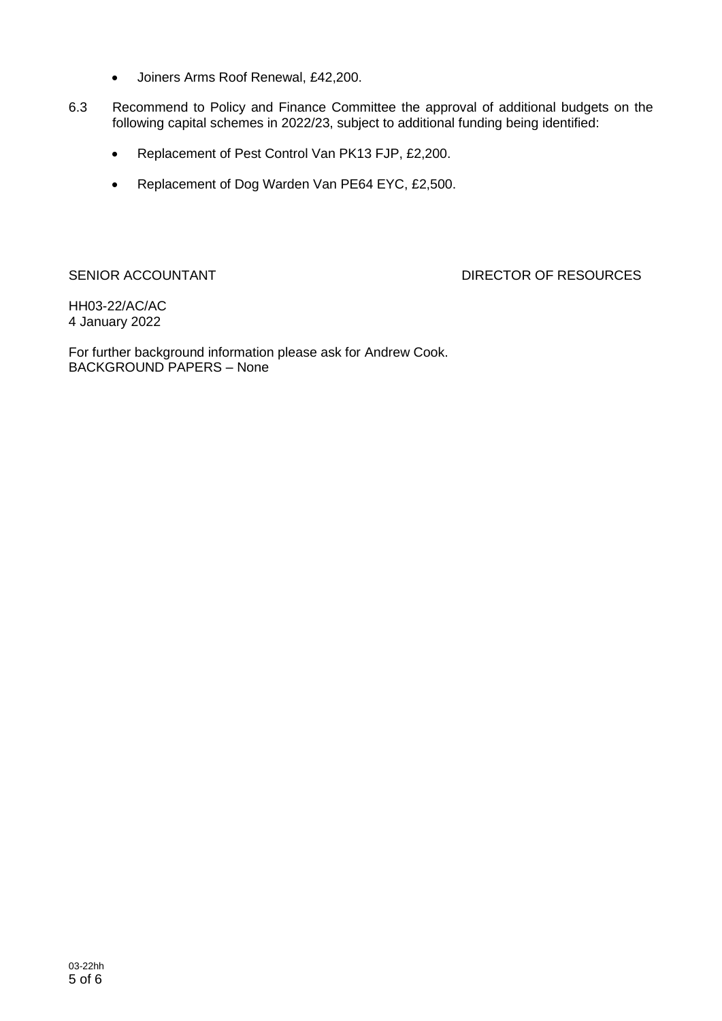- Joiners Arms Roof Renewal, £42,200.
- 6.3 Recommend to Policy and Finance Committee the approval of additional budgets on the following capital schemes in 2022/23, subject to additional funding being identified:
	- Replacement of Pest Control Van PK13 FJP, £2,200.
	- Replacement of Dog Warden Van PE64 EYC, £2,500.

SENIOR ACCOUNTANT SENIOR ACCOUNTANT DIRECTOR OF RESOURCES

HH03-22/AC/AC 4 January 2022

For further background information please ask for Andrew Cook. BACKGROUND PAPERS – None